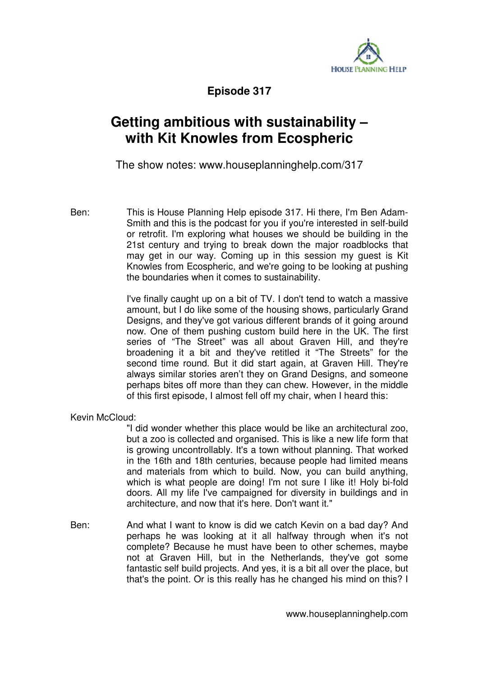

**Episode 317** 

## **Getting ambitious with sustainability – with Kit Knowles from Ecospheric**

The show notes: www.houseplanninghelp.com/317

Ben: This is House Planning Help episode 317. Hi there, I'm Ben Adam-Smith and this is the podcast for you if you're interested in self-build or retrofit. I'm exploring what houses we should be building in the 21st century and trying to break down the major roadblocks that may get in our way. Coming up in this session my guest is Kit Knowles from Ecospheric, and we're going to be looking at pushing the boundaries when it comes to sustainability.

> I've finally caught up on a bit of TV. I don't tend to watch a massive amount, but I do like some of the housing shows, particularly Grand Designs, and they've got various different brands of it going around now. One of them pushing custom build here in the UK. The first series of "The Street" was all about Graven Hill, and they're broadening it a bit and they've retitled it "The Streets" for the second time round. But it did start again, at Graven Hill. They're always similar stories aren't they on Grand Designs, and someone perhaps bites off more than they can chew. However, in the middle of this first episode, I almost fell off my chair, when I heard this:

Kevin McCloud:

"I did wonder whether this place would be like an architectural zoo, but a zoo is collected and organised. This is like a new life form that is growing uncontrollably. It's a town without planning. That worked in the 16th and 18th centuries, because people had limited means and materials from which to build. Now, you can build anything, which is what people are doing! I'm not sure I like it! Holy bi-fold doors. All my life I've campaigned for diversity in buildings and in architecture, and now that it's here. Don't want it."

Ben: And what I want to know is did we catch Kevin on a bad day? And perhaps he was looking at it all halfway through when it's not complete? Because he must have been to other schemes, maybe not at Graven Hill, but in the Netherlands, they've got some fantastic self build projects. And yes, it is a bit all over the place, but that's the point. Or is this really has he changed his mind on this? I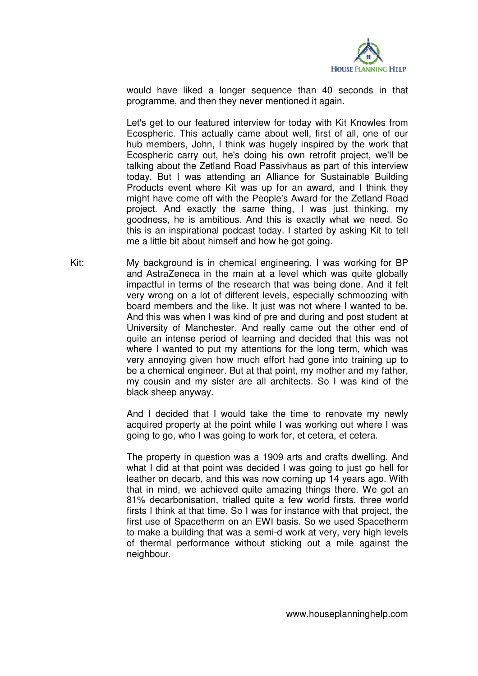

would have liked a longer sequence than 40 seconds in that programme, and then they never mentioned it again.

Let's get to our featured interview for today with Kit Knowles from Ecospheric. This actually came about well, first of all, one of our hub members, John, I think was hugely inspired by the work that Ecospheric carry out, he's doing his own retrofit project, we'll be talking about the Zetland Road Passivhaus as part of this interview today. But I was attending an Alliance for Sustainable Building Products event where Kit was up for an award, and I think they might have come off with the People's Award for the Zetland Road project. And exactly the same thing, I was just thinking, my goodness, he is ambitious. And this is exactly what we need. So this is an inspirational podcast today. I started by asking Kit to tell me a little bit about himself and how he got going.

Kit: My background is in chemical engineering, I was working for BP and AstraZeneca in the main at a level which was quite globally impactful in terms of the research that was being done. And it felt very wrong on a lot of different levels, especially schmoozing with board members and the like. It just was not where I wanted to be. And this was when I was kind of pre and during and post student at University of Manchester. And really came out the other end of quite an intense period of learning and decided that this was not where I wanted to put my attentions for the long term, which was very annoying given how much effort had gone into training up to be a chemical engineer. But at that point, my mother and my father, my cousin and my sister are all architects. So I was kind of the black sheep anyway.

> And I decided that I would take the time to renovate my newly acquired property at the point while I was working out where I was going to go, who I was going to work for, et cetera, et cetera.

> The property in question was a 1909 arts and crafts dwelling. And what I did at that point was decided I was going to just go hell for leather on decarb, and this was now coming up 14 years ago. With that in mind, we achieved quite amazing things there. We got an 81% decarbonisation, trialled quite a few world firsts, three world firsts I think at that time. So I was for instance with that project, the first use of Spacetherm on an EWI basis. So we used Spacetherm to make a building that was a semi-d work at very, very high levels of thermal performance without sticking out a mile against the neighbour.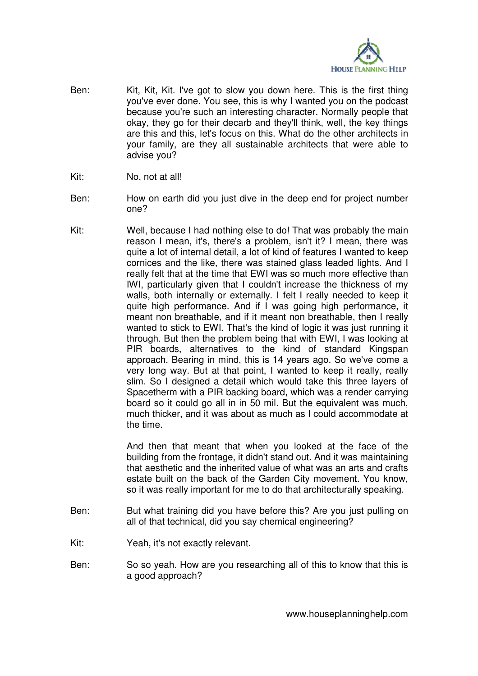

- Ben: Kit, Kit, Kit. I've got to slow you down here. This is the first thing you've ever done. You see, this is why I wanted you on the podcast because you're such an interesting character. Normally people that okay, they go for their decarb and they'll think, well, the key things are this and this, let's focus on this. What do the other architects in your family, are they all sustainable architects that were able to advise you?
- Kit: No, not at all!
- Ben: How on earth did you just dive in the deep end for project number one?
- Kit: Well, because I had nothing else to do! That was probably the main reason I mean, it's, there's a problem, isn't it? I mean, there was quite a lot of internal detail, a lot of kind of features I wanted to keep cornices and the like, there was stained glass leaded lights. And I really felt that at the time that EWI was so much more effective than IWI, particularly given that I couldn't increase the thickness of my walls, both internally or externally. I felt I really needed to keep it quite high performance. And if I was going high performance, it meant non breathable, and if it meant non breathable, then I really wanted to stick to EWI. That's the kind of logic it was just running it through. But then the problem being that with EWI, I was looking at PIR boards, alternatives to the kind of standard Kingspan approach. Bearing in mind, this is 14 years ago. So we've come a very long way. But at that point, I wanted to keep it really, really slim. So I designed a detail which would take this three layers of Spacetherm with a PIR backing board, which was a render carrying board so it could go all in in 50 mil. But the equivalent was much, much thicker, and it was about as much as I could accommodate at the time.

And then that meant that when you looked at the face of the building from the frontage, it didn't stand out. And it was maintaining that aesthetic and the inherited value of what was an arts and crafts estate built on the back of the Garden City movement. You know, so it was really important for me to do that architecturally speaking.

- Ben: But what training did you have before this? Are you just pulling on all of that technical, did you say chemical engineering?
- Kit: Yeah, it's not exactly relevant.
- Ben: So so yeah. How are you researching all of this to know that this is a good approach?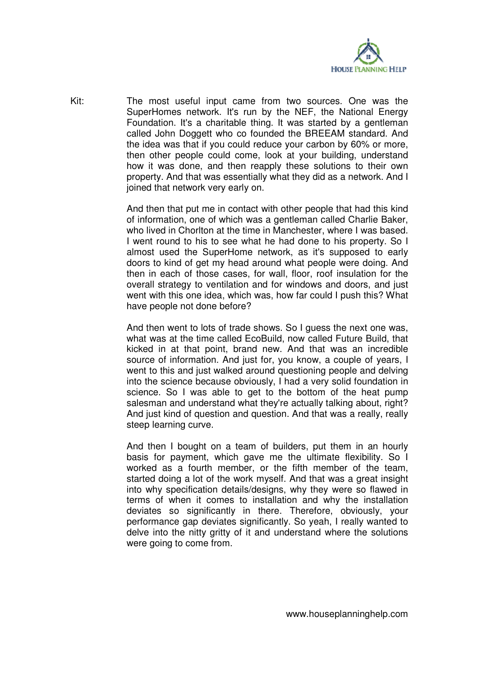

Kit: The most useful input came from two sources. One was the SuperHomes network. It's run by the NEF, the National Energy Foundation. It's a charitable thing. It was started by a gentleman called John Doggett who co founded the BREEAM standard. And the idea was that if you could reduce your carbon by 60% or more, then other people could come, look at your building, understand how it was done, and then reapply these solutions to their own property. And that was essentially what they did as a network. And I joined that network very early on.

> And then that put me in contact with other people that had this kind of information, one of which was a gentleman called Charlie Baker, who lived in Chorlton at the time in Manchester, where I was based. I went round to his to see what he had done to his property. So I almost used the SuperHome network, as it's supposed to early doors to kind of get my head around what people were doing. And then in each of those cases, for wall, floor, roof insulation for the overall strategy to ventilation and for windows and doors, and just went with this one idea, which was, how far could I push this? What have people not done before?

> And then went to lots of trade shows. So I guess the next one was, what was at the time called EcoBuild, now called Future Build, that kicked in at that point, brand new. And that was an incredible source of information. And just for, you know, a couple of years, I went to this and just walked around questioning people and delving into the science because obviously, I had a very solid foundation in science. So I was able to get to the bottom of the heat pump salesman and understand what they're actually talking about, right? And just kind of question and question. And that was a really, really steep learning curve.

> And then I bought on a team of builders, put them in an hourly basis for payment, which gave me the ultimate flexibility. So I worked as a fourth member, or the fifth member of the team, started doing a lot of the work myself. And that was a great insight into why specification details/designs, why they were so flawed in terms of when it comes to installation and why the installation deviates so significantly in there. Therefore, obviously, your performance gap deviates significantly. So yeah, I really wanted to delve into the nitty gritty of it and understand where the solutions were going to come from.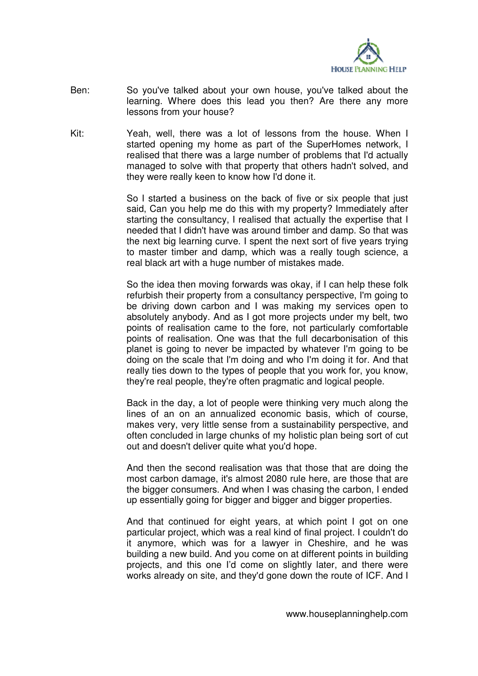

- Ben: So you've talked about your own house, you've talked about the learning. Where does this lead you then? Are there any more lessons from your house?
- Kit: Yeah, well, there was a lot of lessons from the house. When I started opening my home as part of the SuperHomes network, I realised that there was a large number of problems that I'd actually managed to solve with that property that others hadn't solved, and they were really keen to know how I'd done it.

So I started a business on the back of five or six people that just said, Can you help me do this with my property? Immediately after starting the consultancy, I realised that actually the expertise that I needed that I didn't have was around timber and damp. So that was the next big learning curve. I spent the next sort of five years trying to master timber and damp, which was a really tough science, a real black art with a huge number of mistakes made.

So the idea then moving forwards was okay, if I can help these folk refurbish their property from a consultancy perspective, I'm going to be driving down carbon and I was making my services open to absolutely anybody. And as I got more projects under my belt, two points of realisation came to the fore, not particularly comfortable points of realisation. One was that the full decarbonisation of this planet is going to never be impacted by whatever I'm going to be doing on the scale that I'm doing and who I'm doing it for. And that really ties down to the types of people that you work for, you know, they're real people, they're often pragmatic and logical people.

Back in the day, a lot of people were thinking very much along the lines of an on an annualized economic basis, which of course, makes very, very little sense from a sustainability perspective, and often concluded in large chunks of my holistic plan being sort of cut out and doesn't deliver quite what you'd hope.

And then the second realisation was that those that are doing the most carbon damage, it's almost 2080 rule here, are those that are the bigger consumers. And when I was chasing the carbon, I ended up essentially going for bigger and bigger and bigger properties.

And that continued for eight years, at which point I got on one particular project, which was a real kind of final project. I couldn't do it anymore, which was for a lawyer in Cheshire, and he was building a new build. And you come on at different points in building projects, and this one I'd come on slightly later, and there were works already on site, and they'd gone down the route of ICF. And I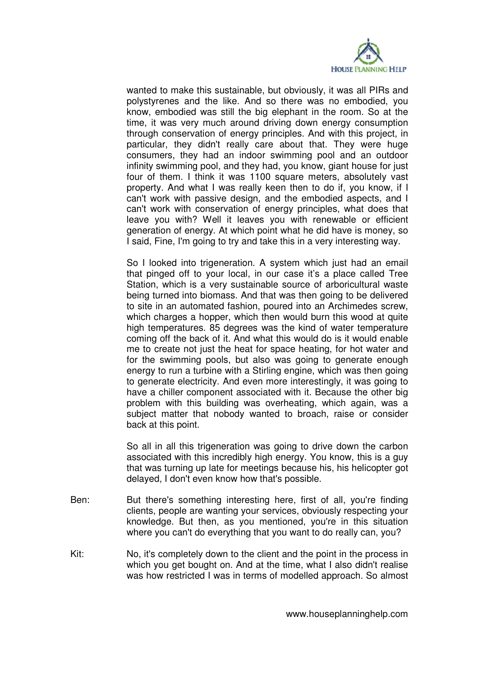

wanted to make this sustainable, but obviously, it was all PIRs and polystyrenes and the like. And so there was no embodied, you know, embodied was still the big elephant in the room. So at the time, it was very much around driving down energy consumption through conservation of energy principles. And with this project, in particular, they didn't really care about that. They were huge consumers, they had an indoor swimming pool and an outdoor infinity swimming pool, and they had, you know, giant house for just four of them. I think it was 1100 square meters, absolutely vast property. And what I was really keen then to do if, you know, if I can't work with passive design, and the embodied aspects, and I can't work with conservation of energy principles, what does that leave you with? Well it leaves you with renewable or efficient generation of energy. At which point what he did have is money, so I said, Fine, I'm going to try and take this in a very interesting way.

So I looked into trigeneration. A system which just had an email that pinged off to your local, in our case it's a place called Tree Station, which is a very sustainable source of arboricultural waste being turned into biomass. And that was then going to be delivered to site in an automated fashion, poured into an Archimedes screw, which charges a hopper, which then would burn this wood at quite high temperatures. 85 degrees was the kind of water temperature coming off the back of it. And what this would do is it would enable me to create not just the heat for space heating, for hot water and for the swimming pools, but also was going to generate enough energy to run a turbine with a Stirling engine, which was then going to generate electricity. And even more interestingly, it was going to have a chiller component associated with it. Because the other big problem with this building was overheating, which again, was a subject matter that nobody wanted to broach, raise or consider back at this point.

So all in all this trigeneration was going to drive down the carbon associated with this incredibly high energy. You know, this is a guy that was turning up late for meetings because his, his helicopter got delayed, I don't even know how that's possible.

- Ben: But there's something interesting here, first of all, you're finding clients, people are wanting your services, obviously respecting your knowledge. But then, as you mentioned, you're in this situation where you can't do everything that you want to do really can, you?
- Kit: No, it's completely down to the client and the point in the process in which you get bought on. And at the time, what I also didn't realise was how restricted I was in terms of modelled approach. So almost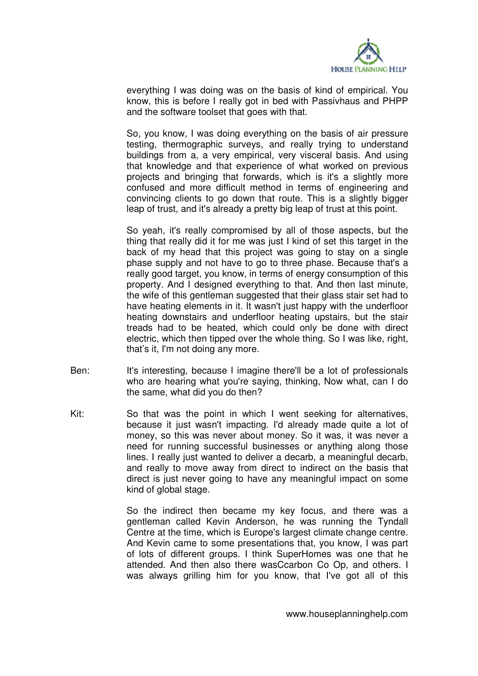

everything I was doing was on the basis of kind of empirical. You know, this is before I really got in bed with Passivhaus and PHPP and the software toolset that goes with that.

So, you know, I was doing everything on the basis of air pressure testing, thermographic surveys, and really trying to understand buildings from a, a very empirical, very visceral basis. And using that knowledge and that experience of what worked on previous projects and bringing that forwards, which is it's a slightly more confused and more difficult method in terms of engineering and convincing clients to go down that route. This is a slightly bigger leap of trust, and it's already a pretty big leap of trust at this point.

So yeah, it's really compromised by all of those aspects, but the thing that really did it for me was just I kind of set this target in the back of my head that this project was going to stay on a single phase supply and not have to go to three phase. Because that's a really good target, you know, in terms of energy consumption of this property. And I designed everything to that. And then last minute, the wife of this gentleman suggested that their glass stair set had to have heating elements in it. It wasn't just happy with the underfloor heating downstairs and underfloor heating upstairs, but the stair treads had to be heated, which could only be done with direct electric, which then tipped over the whole thing. So I was like, right, that's it, I'm not doing any more.

- Ben: It's interesting, because I imagine there'll be a lot of professionals who are hearing what you're saying, thinking, Now what, can I do the same, what did you do then?
- Kit: So that was the point in which I went seeking for alternatives, because it just wasn't impacting. I'd already made quite a lot of money, so this was never about money. So it was, it was never a need for running successful businesses or anything along those lines. I really just wanted to deliver a decarb, a meaningful decarb, and really to move away from direct to indirect on the basis that direct is just never going to have any meaningful impact on some kind of global stage.

So the indirect then became my key focus, and there was a gentleman called Kevin Anderson, he was running the Tyndall Centre at the time, which is Europe's largest climate change centre. And Kevin came to some presentations that, you know, I was part of lots of different groups. I think SuperHomes was one that he attended. And then also there wasCcarbon Co Op, and others. I was always grilling him for you know, that I've got all of this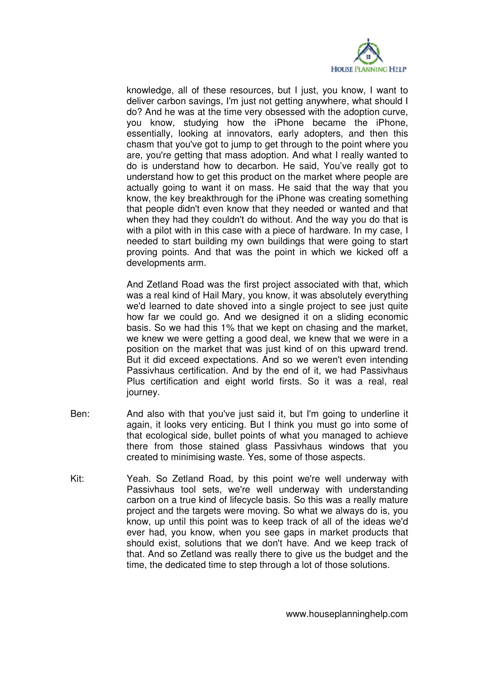

knowledge, all of these resources, but I just, you know, I want to deliver carbon savings, I'm just not getting anywhere, what should I do? And he was at the time very obsessed with the adoption curve, you know, studying how the iPhone became the iPhone, essentially, looking at innovators, early adopters, and then this chasm that you've got to jump to get through to the point where you are, you're getting that mass adoption. And what I really wanted to do is understand how to decarbon. He said, You've really got to understand how to get this product on the market where people are actually going to want it on mass. He said that the way that you know, the key breakthrough for the iPhone was creating something that people didn't even know that they needed or wanted and that when they had they couldn't do without. And the way you do that is with a pilot with in this case with a piece of hardware. In my case, I needed to start building my own buildings that were going to start proving points. And that was the point in which we kicked off a developments arm.

And Zetland Road was the first project associated with that, which was a real kind of Hail Mary, you know, it was absolutely everything we'd learned to date shoved into a single project to see just quite how far we could go. And we designed it on a sliding economic basis. So we had this 1% that we kept on chasing and the market, we knew we were getting a good deal, we knew that we were in a position on the market that was just kind of on this upward trend. But it did exceed expectations. And so we weren't even intending Passivhaus certification. And by the end of it, we had Passivhaus Plus certification and eight world firsts. So it was a real, real journey.

- Ben: And also with that you've just said it, but I'm going to underline it again, it looks very enticing. But I think you must go into some of that ecological side, bullet points of what you managed to achieve there from those stained glass Passivhaus windows that you created to minimising waste. Yes, some of those aspects.
- Kit: Yeah. So Zetland Road, by this point we're well underway with Passivhaus tool sets, we're well underway with understanding carbon on a true kind of lifecycle basis. So this was a really mature project and the targets were moving. So what we always do is, you know, up until this point was to keep track of all of the ideas we'd ever had, you know, when you see gaps in market products that should exist, solutions that we don't have. And we keep track of that. And so Zetland was really there to give us the budget and the time, the dedicated time to step through a lot of those solutions.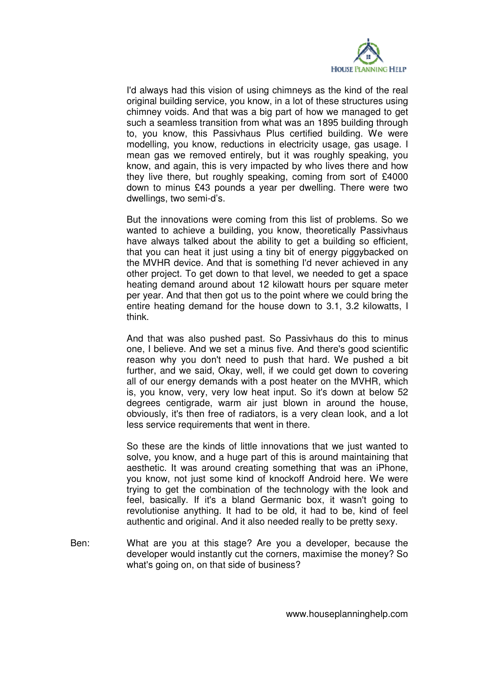

I'd always had this vision of using chimneys as the kind of the real original building service, you know, in a lot of these structures using chimney voids. And that was a big part of how we managed to get such a seamless transition from what was an 1895 building through to, you know, this Passivhaus Plus certified building. We were modelling, you know, reductions in electricity usage, gas usage. I mean gas we removed entirely, but it was roughly speaking, you know, and again, this is very impacted by who lives there and how they live there, but roughly speaking, coming from sort of £4000 down to minus £43 pounds a year per dwelling. There were two dwellings, two semi-d's.

But the innovations were coming from this list of problems. So we wanted to achieve a building, you know, theoretically Passivhaus have always talked about the ability to get a building so efficient, that you can heat it just using a tiny bit of energy piggybacked on the MVHR device. And that is something I'd never achieved in any other project. To get down to that level, we needed to get a space heating demand around about 12 kilowatt hours per square meter per year. And that then got us to the point where we could bring the entire heating demand for the house down to 3.1, 3.2 kilowatts, I think.

And that was also pushed past. So Passivhaus do this to minus one, I believe. And we set a minus five. And there's good scientific reason why you don't need to push that hard. We pushed a bit further, and we said, Okay, well, if we could get down to covering all of our energy demands with a post heater on the MVHR, which is, you know, very, very low heat input. So it's down at below 52 degrees centigrade, warm air just blown in around the house, obviously, it's then free of radiators, is a very clean look, and a lot less service requirements that went in there.

So these are the kinds of little innovations that we just wanted to solve, you know, and a huge part of this is around maintaining that aesthetic. It was around creating something that was an iPhone, you know, not just some kind of knockoff Android here. We were trying to get the combination of the technology with the look and feel, basically. If it's a bland Germanic box, it wasn't going to revolutionise anything. It had to be old, it had to be, kind of feel authentic and original. And it also needed really to be pretty sexy.

Ben: What are you at this stage? Are you a developer, because the developer would instantly cut the corners, maximise the money? So what's going on, on that side of business?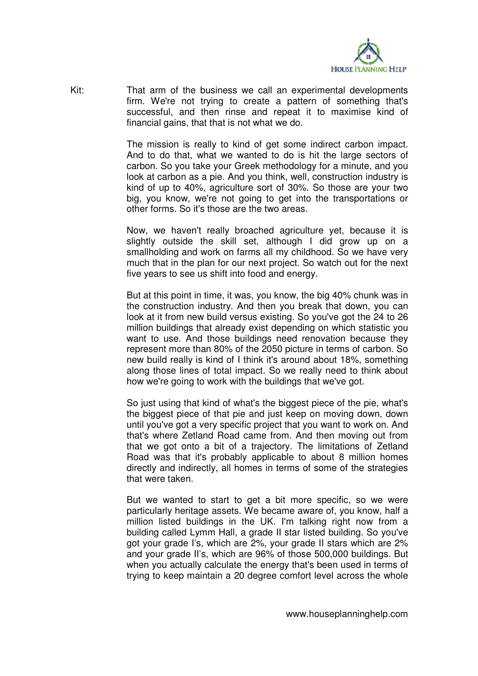

Kit: That arm of the business we call an experimental developments firm. We're not trying to create a pattern of something that's successful, and then rinse and repeat it to maximise kind of financial gains, that that is not what we do.

> The mission is really to kind of get some indirect carbon impact. And to do that, what we wanted to do is hit the large sectors of carbon. So you take your Greek methodology for a minute, and you look at carbon as a pie. And you think, well, construction industry is kind of up to 40%, agriculture sort of 30%. So those are your two big, you know, we're not going to get into the transportations or other forms. So it's those are the two areas.

> Now, we haven't really broached agriculture yet, because it is slightly outside the skill set, although I did grow up on a smallholding and work on farms all my childhood. So we have very much that in the plan for our next project. So watch out for the next five years to see us shift into food and energy.

> But at this point in time, it was, you know, the big 40% chunk was in the construction industry. And then you break that down, you can look at it from new build versus existing. So you've got the 24 to 26 million buildings that already exist depending on which statistic you want to use. And those buildings need renovation because they represent more than 80% of the 2050 picture in terms of carbon. So new build really is kind of I think it's around about 18%, something along those lines of total impact. So we really need to think about how we're going to work with the buildings that we've got.

> So just using that kind of what's the biggest piece of the pie, what's the biggest piece of that pie and just keep on moving down, down until you've got a very specific project that you want to work on. And that's where Zetland Road came from. And then moving out from that we got onto a bit of a trajectory. The limitations of Zetland Road was that it's probably applicable to about 8 million homes directly and indirectly, all homes in terms of some of the strategies that were taken.

> But we wanted to start to get a bit more specific, so we were particularly heritage assets. We became aware of, you know, half a million listed buildings in the UK. I'm talking right now from a building called Lymm Hall, a grade II star listed building. So you've got your grade I's, which are 2%, your grade II stars which are 2% and your grade II's, which are 96% of those 500,000 buildings. But when you actually calculate the energy that's been used in terms of trying to keep maintain a 20 degree comfort level across the whole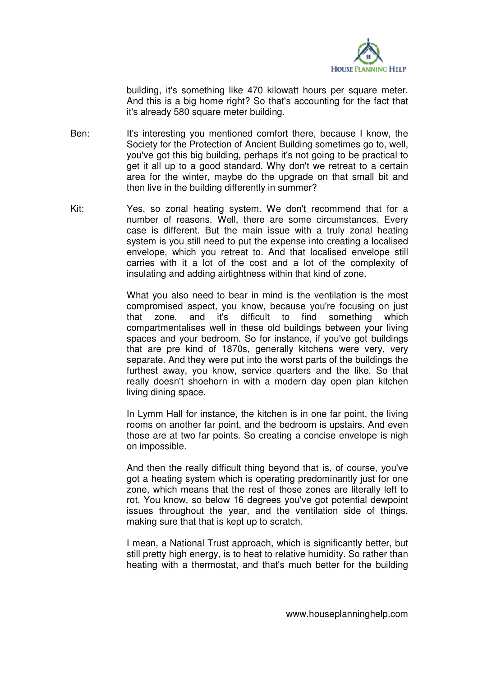

building, it's something like 470 kilowatt hours per square meter. And this is a big home right? So that's accounting for the fact that it's already 580 square meter building.

- Ben: It's interesting you mentioned comfort there, because I know, the Society for the Protection of Ancient Building sometimes go to, well, you've got this big building, perhaps it's not going to be practical to get it all up to a good standard. Why don't we retreat to a certain area for the winter, maybe do the upgrade on that small bit and then live in the building differently in summer?
- Kit: Yes, so zonal heating system. We don't recommend that for a number of reasons. Well, there are some circumstances. Every case is different. But the main issue with a truly zonal heating system is you still need to put the expense into creating a localised envelope, which you retreat to. And that localised envelope still carries with it a lot of the cost and a lot of the complexity of insulating and adding airtightness within that kind of zone.

What you also need to bear in mind is the ventilation is the most compromised aspect, you know, because you're focusing on just that zone, and it's difficult to find something which compartmentalises well in these old buildings between your living spaces and your bedroom. So for instance, if you've got buildings that are pre kind of 1870s, generally kitchens were very, very separate. And they were put into the worst parts of the buildings the furthest away, you know, service quarters and the like. So that really doesn't shoehorn in with a modern day open plan kitchen living dining space.

In Lymm Hall for instance, the kitchen is in one far point, the living rooms on another far point, and the bedroom is upstairs. And even those are at two far points. So creating a concise envelope is nigh on impossible.

And then the really difficult thing beyond that is, of course, you've got a heating system which is operating predominantly just for one zone, which means that the rest of those zones are literally left to rot. You know, so below 16 degrees you've got potential dewpoint issues throughout the year, and the ventilation side of things, making sure that that is kept up to scratch.

I mean, a National Trust approach, which is significantly better, but still pretty high energy, is to heat to relative humidity. So rather than heating with a thermostat, and that's much better for the building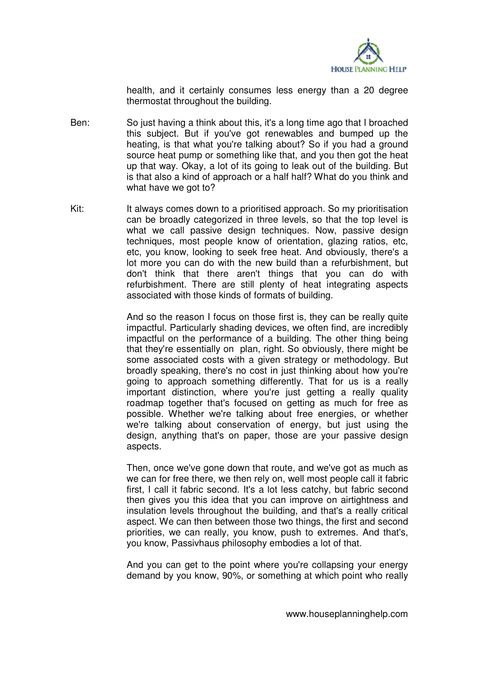

health, and it certainly consumes less energy than a 20 degree thermostat throughout the building.

- Ben: So just having a think about this, it's a long time ago that I broached this subject. But if you've got renewables and bumped up the heating, is that what you're talking about? So if you had a ground source heat pump or something like that, and you then got the heat up that way. Okay, a lot of its going to leak out of the building. But is that also a kind of approach or a half half? What do you think and what have we got to?
- Kit: It always comes down to a prioritised approach. So my prioritisation can be broadly categorized in three levels, so that the top level is what we call passive design techniques. Now, passive design techniques, most people know of orientation, glazing ratios, etc, etc, you know, looking to seek free heat. And obviously, there's a lot more you can do with the new build than a refurbishment, but don't think that there aren't things that you can do with refurbishment. There are still plenty of heat integrating aspects associated with those kinds of formats of building.

And so the reason I focus on those first is, they can be really quite impactful. Particularly shading devices, we often find, are incredibly impactful on the performance of a building. The other thing being that they're essentially on plan, right. So obviously, there might be some associated costs with a given strategy or methodology. But broadly speaking, there's no cost in just thinking about how you're going to approach something differently. That for us is a really important distinction, where you're just getting a really quality roadmap together that's focused on getting as much for free as possible. Whether we're talking about free energies, or whether we're talking about conservation of energy, but just using the design, anything that's on paper, those are your passive design aspects.

Then, once we've gone down that route, and we've got as much as we can for free there, we then rely on, well most people call it fabric first, I call it fabric second. It's a lot less catchy, but fabric second then gives you this idea that you can improve on airtightness and insulation levels throughout the building, and that's a really critical aspect. We can then between those two things, the first and second priorities, we can really, you know, push to extremes. And that's, you know, Passivhaus philosophy embodies a lot of that.

And you can get to the point where you're collapsing your energy demand by you know, 90%, or something at which point who really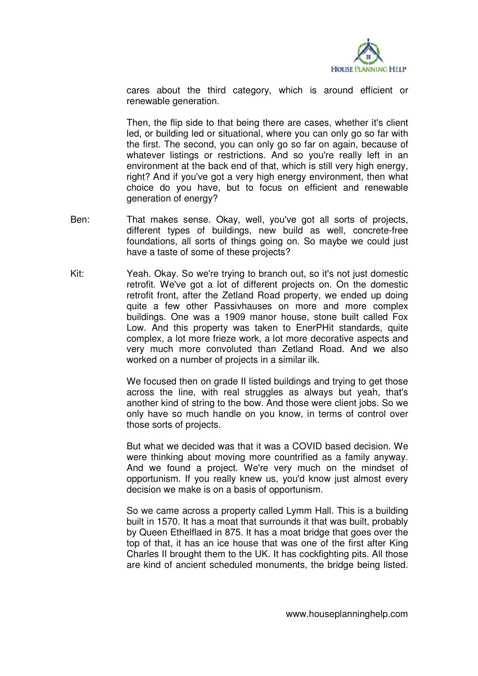

cares about the third category, which is around efficient or renewable generation.

Then, the flip side to that being there are cases, whether it's client led, or building led or situational, where you can only go so far with the first. The second, you can only go so far on again, because of whatever listings or restrictions. And so you're really left in an environment at the back end of that, which is still very high energy, right? And if you've got a very high energy environment, then what choice do you have, but to focus on efficient and renewable generation of energy?

- Ben: That makes sense. Okay, well, you've got all sorts of projects, different types of buildings, new build as well, concrete-free foundations, all sorts of things going on. So maybe we could just have a taste of some of these projects?
- Kit: Yeah. Okay. So we're trying to branch out, so it's not just domestic retrofit. We've got a lot of different projects on. On the domestic retrofit front, after the Zetland Road property, we ended up doing quite a few other Passivhauses on more and more complex buildings. One was a 1909 manor house, stone built called Fox Low. And this property was taken to EnerPHit standards, quite complex, a lot more frieze work, a lot more decorative aspects and very much more convoluted than Zetland Road. And we also worked on a number of projects in a similar ilk.

We focused then on grade II listed buildings and trying to get those across the line, with real struggles as always but yeah, that's another kind of string to the bow. And those were client jobs. So we only have so much handle on you know, in terms of control over those sorts of projects.

But what we decided was that it was a COVID based decision. We were thinking about moving more countrified as a family anyway. And we found a project. We're very much on the mindset of opportunism. If you really knew us, you'd know just almost every decision we make is on a basis of opportunism.

So we came across a property called Lymm Hall. This is a building built in 1570. It has a moat that surrounds it that was built, probably by Queen Ethelflaed in 875. It has a moat bridge that goes over the top of that, it has an ice house that was one of the first after King Charles II brought them to the UK. It has cockfighting pits. All those are kind of ancient scheduled monuments, the bridge being listed.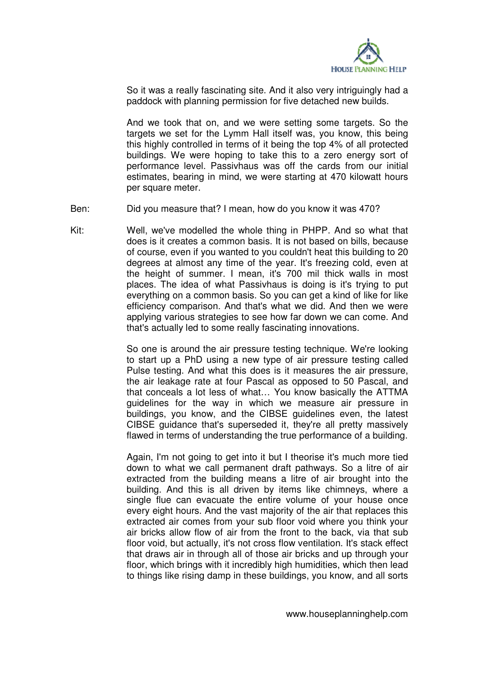

So it was a really fascinating site. And it also very intriguingly had a paddock with planning permission for five detached new builds.

And we took that on, and we were setting some targets. So the targets we set for the Lymm Hall itself was, you know, this being this highly controlled in terms of it being the top 4% of all protected buildings. We were hoping to take this to a zero energy sort of performance level. Passivhaus was off the cards from our initial estimates, bearing in mind, we were starting at 470 kilowatt hours per square meter.

Ben: Did you measure that? I mean, how do you know it was 470?

Kit: Well, we've modelled the whole thing in PHPP. And so what that does is it creates a common basis. It is not based on bills, because of course, even if you wanted to you couldn't heat this building to 20 degrees at almost any time of the year. It's freezing cold, even at the height of summer. I mean, it's 700 mil thick walls in most places. The idea of what Passivhaus is doing is it's trying to put everything on a common basis. So you can get a kind of like for like efficiency comparison. And that's what we did. And then we were applying various strategies to see how far down we can come. And that's actually led to some really fascinating innovations.

> So one is around the air pressure testing technique. We're looking to start up a PhD using a new type of air pressure testing called Pulse testing. And what this does is it measures the air pressure, the air leakage rate at four Pascal as opposed to 50 Pascal, and that conceals a lot less of what… You know basically the ATTMA guidelines for the way in which we measure air pressure in buildings, you know, and the CIBSE guidelines even, the latest CIBSE guidance that's superseded it, they're all pretty massively flawed in terms of understanding the true performance of a building.

> Again, I'm not going to get into it but I theorise it's much more tied down to what we call permanent draft pathways. So a litre of air extracted from the building means a litre of air brought into the building. And this is all driven by items like chimneys, where a single flue can evacuate the entire volume of your house once every eight hours. And the vast majority of the air that replaces this extracted air comes from your sub floor void where you think your air bricks allow flow of air from the front to the back, via that sub floor void, but actually, it's not cross flow ventilation. It's stack effect that draws air in through all of those air bricks and up through your floor, which brings with it incredibly high humidities, which then lead to things like rising damp in these buildings, you know, and all sorts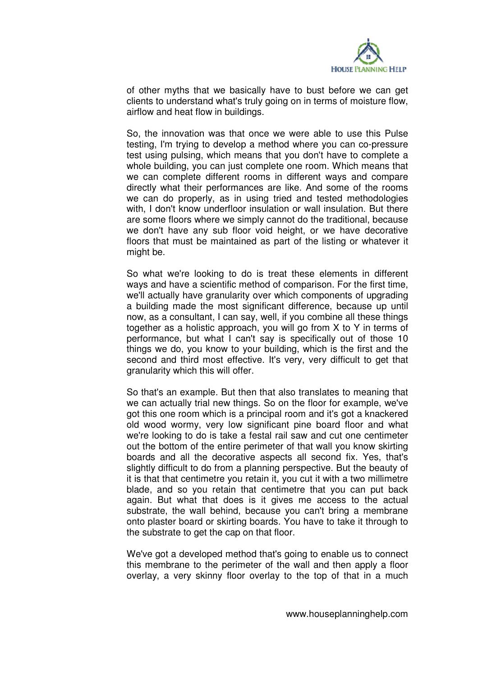

of other myths that we basically have to bust before we can get clients to understand what's truly going on in terms of moisture flow, airflow and heat flow in buildings.

So, the innovation was that once we were able to use this Pulse testing, I'm trying to develop a method where you can co-pressure test using pulsing, which means that you don't have to complete a whole building, you can just complete one room. Which means that we can complete different rooms in different ways and compare directly what their performances are like. And some of the rooms we can do properly, as in using tried and tested methodologies with. I don't know underfloor insulation or wall insulation. But there are some floors where we simply cannot do the traditional, because we don't have any sub floor void height, or we have decorative floors that must be maintained as part of the listing or whatever it might be.

So what we're looking to do is treat these elements in different ways and have a scientific method of comparison. For the first time, we'll actually have granularity over which components of upgrading a building made the most significant difference, because up until now, as a consultant, I can say, well, if you combine all these things together as a holistic approach, you will go from X to Y in terms of performance, but what I can't say is specifically out of those 10 things we do, you know to your building, which is the first and the second and third most effective. It's very, very difficult to get that granularity which this will offer.

So that's an example. But then that also translates to meaning that we can actually trial new things. So on the floor for example, we've got this one room which is a principal room and it's got a knackered old wood wormy, very low significant pine board floor and what we're looking to do is take a festal rail saw and cut one centimeter out the bottom of the entire perimeter of that wall you know skirting boards and all the decorative aspects all second fix. Yes, that's slightly difficult to do from a planning perspective. But the beauty of it is that that centimetre you retain it, you cut it with a two millimetre blade, and so you retain that centimetre that you can put back again. But what that does is it gives me access to the actual substrate, the wall behind, because you can't bring a membrane onto plaster board or skirting boards. You have to take it through to the substrate to get the cap on that floor.

We've got a developed method that's going to enable us to connect this membrane to the perimeter of the wall and then apply a floor overlay, a very skinny floor overlay to the top of that in a much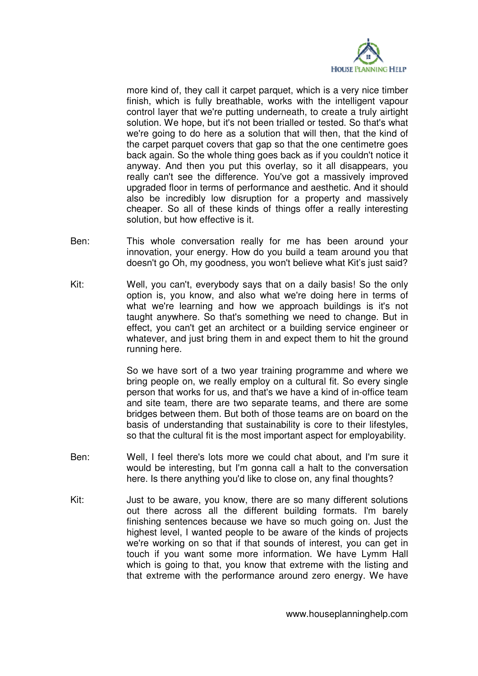

more kind of, they call it carpet parquet, which is a very nice timber finish, which is fully breathable, works with the intelligent vapour control layer that we're putting underneath, to create a truly airtight solution. We hope, but it's not been trialled or tested. So that's what we're going to do here as a solution that will then, that the kind of the carpet parquet covers that gap so that the one centimetre goes back again. So the whole thing goes back as if you couldn't notice it anyway. And then you put this overlay, so it all disappears, you really can't see the difference. You've got a massively improved upgraded floor in terms of performance and aesthetic. And it should also be incredibly low disruption for a property and massively cheaper. So all of these kinds of things offer a really interesting solution, but how effective is it.

- Ben: This whole conversation really for me has been around your innovation, your energy. How do you build a team around you that doesn't go Oh, my goodness, you won't believe what Kit's just said?
- Kit: Well, you can't, everybody says that on a daily basis! So the only option is, you know, and also what we're doing here in terms of what we're learning and how we approach buildings is it's not taught anywhere. So that's something we need to change. But in effect, you can't get an architect or a building service engineer or whatever, and just bring them in and expect them to hit the ground running here.

So we have sort of a two year training programme and where we bring people on, we really employ on a cultural fit. So every single person that works for us, and that's we have a kind of in-office team and site team, there are two separate teams, and there are some bridges between them. But both of those teams are on board on the basis of understanding that sustainability is core to their lifestyles, so that the cultural fit is the most important aspect for employability.

- Ben: Well, I feel there's lots more we could chat about, and I'm sure it would be interesting, but I'm gonna call a halt to the conversation here. Is there anything you'd like to close on, any final thoughts?
- Kit: Just to be aware, you know, there are so many different solutions out there across all the different building formats. I'm barely finishing sentences because we have so much going on. Just the highest level, I wanted people to be aware of the kinds of projects we're working on so that if that sounds of interest, you can get in touch if you want some more information. We have Lymm Hall which is going to that, you know that extreme with the listing and that extreme with the performance around zero energy. We have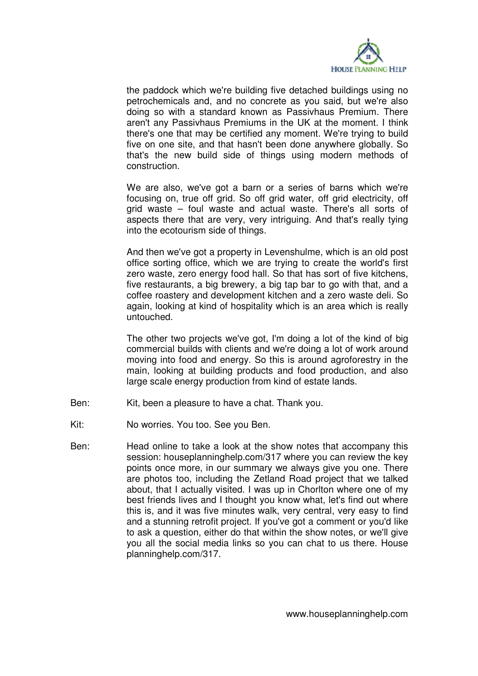

the paddock which we're building five detached buildings using no petrochemicals and, and no concrete as you said, but we're also doing so with a standard known as Passivhaus Premium. There aren't any Passivhaus Premiums in the UK at the moment. I think there's one that may be certified any moment. We're trying to build five on one site, and that hasn't been done anywhere globally. So that's the new build side of things using modern methods of construction.

We are also, we've got a barn or a series of barns which we're focusing on, true off grid. So off grid water, off grid electricity, off grid waste – foul waste and actual waste. There's all sorts of aspects there that are very, very intriguing. And that's really tying into the ecotourism side of things.

And then we've got a property in Levenshulme, which is an old post office sorting office, which we are trying to create the world's first zero waste, zero energy food hall. So that has sort of five kitchens, five restaurants, a big brewery, a big tap bar to go with that, and a coffee roastery and development kitchen and a zero waste deli. So again, looking at kind of hospitality which is an area which is really untouched.

The other two projects we've got, I'm doing a lot of the kind of big commercial builds with clients and we're doing a lot of work around moving into food and energy. So this is around agroforestry in the main, looking at building products and food production, and also large scale energy production from kind of estate lands.

- Ben: Kit, been a pleasure to have a chat. Thank you.
- Kit: No worries. You too. See you Ben.
- Ben: Head online to take a look at the show notes that accompany this session: houseplanninghelp.com/317 where you can review the key points once more, in our summary we always give you one. There are photos too, including the Zetland Road project that we talked about, that I actually visited. I was up in Chorlton where one of my best friends lives and I thought you know what, let's find out where this is, and it was five minutes walk, very central, very easy to find and a stunning retrofit project. If you've got a comment or you'd like to ask a question, either do that within the show notes, or we'll give you all the social media links so you can chat to us there. House planninghelp.com/317.